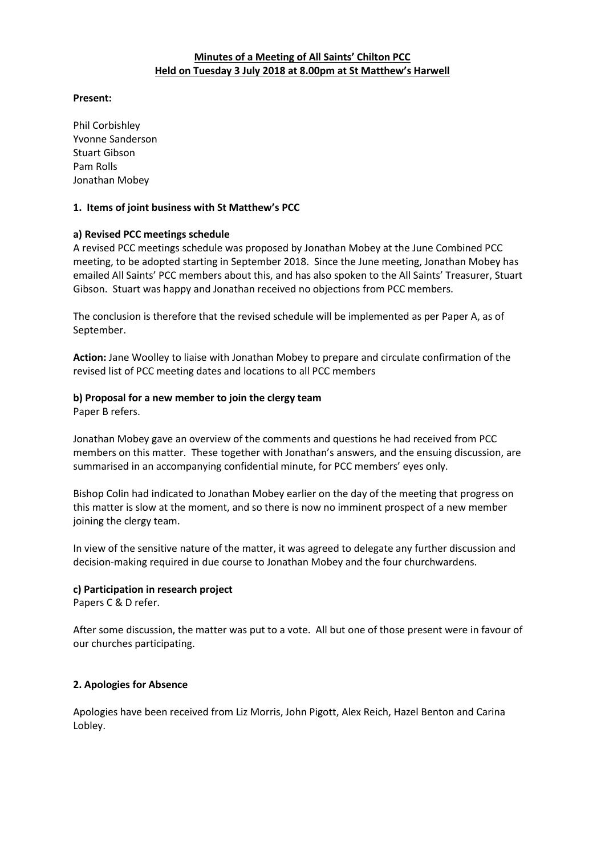# **Minutes of a Meeting of All Saints' Chilton PCC Held on Tuesday 3 July 2018 at 8.00pm at St Matthew's Harwell**

### **Present:**

Phil Corbishley Yvonne Sanderson Stuart Gibson Pam Rolls Jonathan Mobey

### **1. Items of joint business with St Matthew's PCC**

### **a) Revised PCC meetings schedule**

A revised PCC meetings schedule was proposed by Jonathan Mobey at the June Combined PCC meeting, to be adopted starting in September 2018. Since the June meeting, Jonathan Mobey has emailed All Saints' PCC members about this, and has also spoken to the All Saints' Treasurer, Stuart Gibson. Stuart was happy and Jonathan received no objections from PCC members.

The conclusion is therefore that the revised schedule will be implemented as per Paper A, as of September.

**Action:** Jane Woolley to liaise with Jonathan Mobey to prepare and circulate confirmation of the revised list of PCC meeting dates and locations to all PCC members

#### **b) Proposal for a new member to join the clergy team**

Paper B refers.

Jonathan Mobey gave an overview of the comments and questions he had received from PCC members on this matter. These together with Jonathan's answers, and the ensuing discussion, are summarised in an accompanying confidential minute, for PCC members' eyes only.

Bishop Colin had indicated to Jonathan Mobey earlier on the day of the meeting that progress on this matter is slow at the moment, and so there is now no imminent prospect of a new member joining the clergy team.

In view of the sensitive nature of the matter, it was agreed to delegate any further discussion and decision-making required in due course to Jonathan Mobey and the four churchwardens.

# **c) Participation in research project**

Papers C & D refer.

After some discussion, the matter was put to a vote. All but one of those present were in favour of our churches participating.

#### **2. Apologies for Absence**

Apologies have been received from Liz Morris, John Pigott, Alex Reich, Hazel Benton and Carina Lobley.